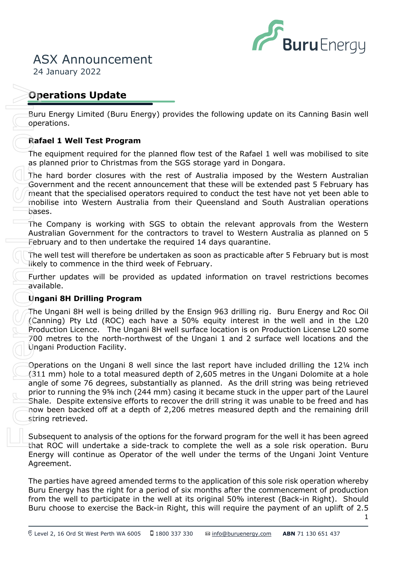

24 January 2022

# **Operations Update**

Buru Energy Limited (Buru Energy) provides the following update on its Canning Basin well operations.

# **Rafael 1 Well Test Program**

The equipment required for the planned flow test of the Rafael 1 well was mobilised to site as planned prior to Christmas from the SGS storage yard in Dongara.

Government and the recent announcement that these will be extended past 5 February has The hard border closures with the rest of Australia imposed by the Western Australian meant that the specialised operators required to conduct the test have not yet been able to mobilise into Western Australia from their Queensland and South Australian operations bases.

The Company is working with SGS to obtain the relevant approvals from the Western Australian Government for the contractors to travel to Western Australia as planned on 5 February and to then undertake the required 14 days quarantine.

The well test will therefore be undertaken as soon as practicable after 5 February but is most likely to commence in the third week of February.

Further updates will be provided as updated information on travel restrictions becomes available.

## **Ungani 8H Drilling Program**

The Ungani 8H well is being drilled by the Ensign 963 drilling rig. Buru Energy and Roc Oil (Canning) Pty Ltd (ROC) each have a 50% equity interest in the well and in the L20 Production Licence. The Ungani 8H well surface location is on Production License L20 some 700 metres to the north-northwest of the Ungani 1 and 2 surface well locations and the Ungani Production Facility.

Operations on the Ungani 8 well since the last report have included drilling the 12¼ inch (311 mm) hole to a total measured depth of 2,605 metres in the Ungani Dolomite at a hole angle of some 76 degrees, substantially as planned. As the drill string was being retrieved prior to running the 9⅝ inch (244 mm) casing it became stuck in the upper part of the Laurel Shale. Despite extensive efforts to recover the drill string it was unable to be freed and has now been backed off at a depth of 2,206 metres measured depth and the remaining drill string retrieved. **Operations Update**<br>
Buru Chroygy Umited (Buru Chreyy) provides the following update on its Canning Basin well<br>
operators,<br> **Rafael 1 Well Test Program**<br>
The equipment required for the planned flow test of the Rafael 1 wel

Subsequent to analysis of the options for the forward program for the well it has been agreed that ROC will undertake a side-track to complete the well as a sole risk operation. Buru Energy will continue as Operator of the well under the terms of the Ungani Joint Venture Agreement.

The parties have agreed amended terms to the application of this sole risk operation whereby Buru Energy has the right for a period of six months after the commencement of production from the well to participate in the well at its original 50% interest (Back-in Right). Should